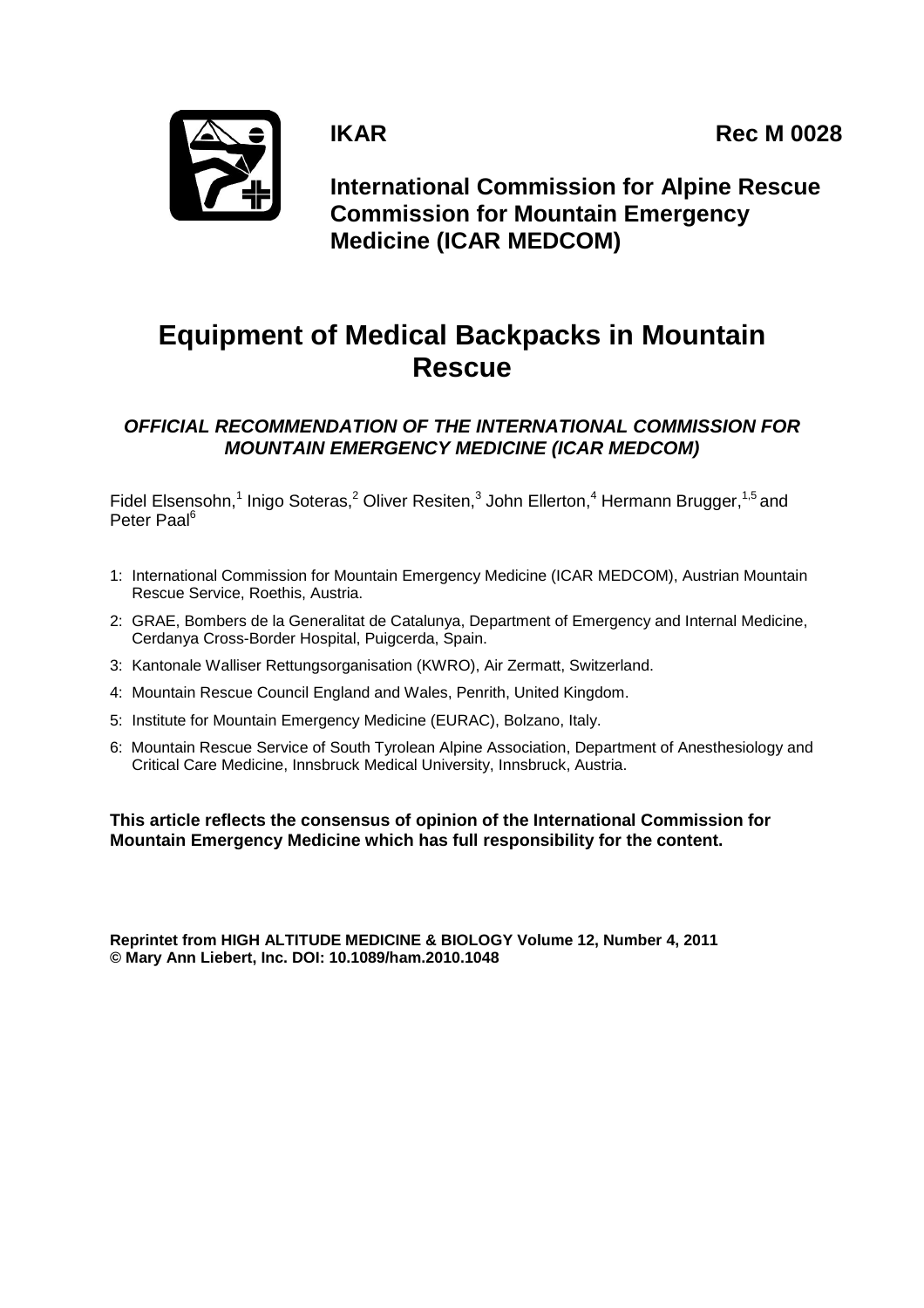**IKAR** Rec M 0028



**International Commission for Alpine Rescue Commission for Mountain Emergency Medicine (ICAR MEDCOM)**

# **Equipment of Medical Backpacks in Mountain Rescue**

*OFFICIAL RECOMMENDATION OF THE INTERNATIONAL COMMISSION FOR MOUNTAIN EMERGENCY MEDICINE (ICAR MEDCOM)*

Fidel Elsensohn,<sup>1</sup> Inigo Soteras,<sup>2</sup> Oliver Resiten,<sup>3</sup> John Ellerton,<sup>4</sup> Hermann Brugger,<sup>1,5</sup> and Peter Paal<sup>6</sup>

- 1: International Commission for Mountain Emergency Medicine (ICAR MEDCOM), Austrian Mountain Rescue Service, Roethis, Austria.
- 2: GRAE, Bombers de la Generalitat de Catalunya, Department of Emergency and Internal Medicine, Cerdanya Cross-Border Hospital, Puigcerda, Spain.
- 3: Kantonale Walliser Rettungsorganisation (KWRO), Air Zermatt, Switzerland.
- 4: Mountain Rescue Council England and Wales, Penrith, United Kingdom.
- 5: Institute for Mountain Emergency Medicine (EURAC), Bolzano, Italy.
- 6: Mountain Rescue Service of South Tyrolean Alpine Association, Department of Anesthesiology and Critical Care Medicine, Innsbruck Medical University, Innsbruck, Austria.

**This article reflects the consensus of opinion of the International Commission for Mountain Emergency Medicine which has full responsibility for the content.**

**Reprintet from HIGH ALTITUDE MEDICINE & BIOLOGY Volume 12, Number 4, 2011 © Mary Ann Liebert, Inc. DOI: 10.1089/ham.2010.1048**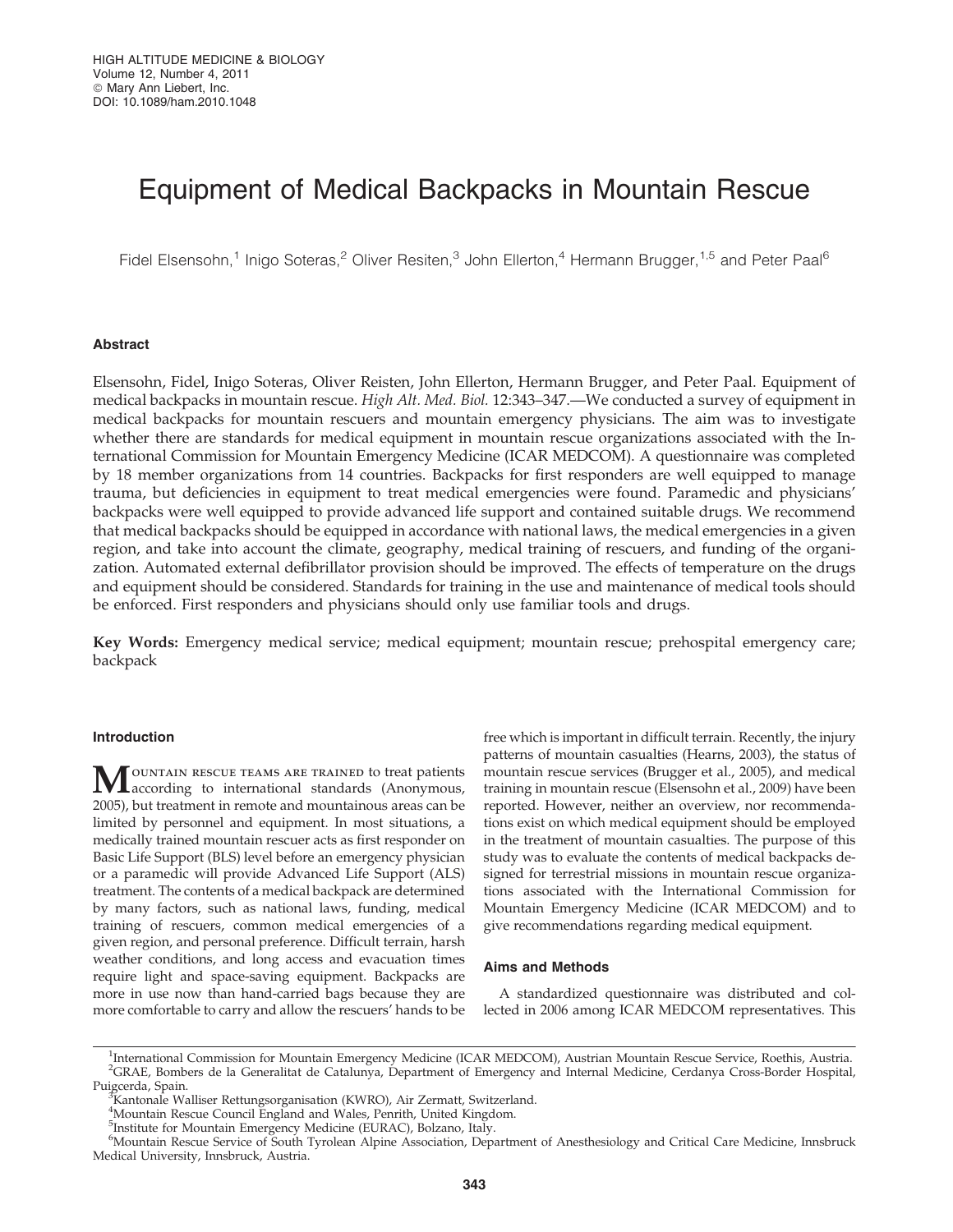## Equipment of Medical Backpacks in Mountain Rescue

Fidel Elsensohn,<sup>1</sup> Inigo Soteras,<sup>2</sup> Oliver Resiten,<sup>3</sup> John Ellerton,<sup>4</sup> Hermann Brugger,<sup>1,5</sup> and Peter Paal<sup>6</sup>

## Abstract

Elsensohn, Fidel, Inigo Soteras, Oliver Reisten, John Ellerton, Hermann Brugger, and Peter Paal. Equipment of medical backpacks in mountain rescue. High Alt. Med. Biol. 12:343-347.—We conducted a survey of equipment in medical backpacks for mountain rescuers and mountain emergency physicians. The aim was to investigate whether there are standards for medical equipment in mountain rescue organizations associated with the International Commission for Mountain Emergency Medicine (ICAR MEDCOM). A questionnaire was completed by 18 member organizations from 14 countries. Backpacks for first responders are well equipped to manage trauma, but deficiencies in equipment to treat medical emergencies were found. Paramedic and physicians' backpacks were well equipped to provide advanced life support and contained suitable drugs. We recommend that medical backpacks should be equipped in accordance with national laws, the medical emergencies in a given region, and take into account the climate, geography, medical training of rescuers, and funding of the organization. Automated external defibrillator provision should be improved. The effects of temperature on the drugs and equipment should be considered. Standards for training in the use and maintenance of medical tools should be enforced. First responders and physicians should only use familiar tools and drugs.

Key Words: Emergency medical service; medical equipment; mountain rescue; prehospital emergency care; backpack

## Introduction

MOUNTAIN RESCUE TEAMS ARE TRAINED to treat patients<br>according to international standards (Anonymous, 2005), but treatment in remote and mountainous areas can be limited by personnel and equipment. In most situations, a medically trained mountain rescuer acts as first responder on Basic Life Support (BLS) level before an emergency physician or a paramedic will provide Advanced Life Support (ALS) treatment. The contents of a medical backpack are determined by many factors, such as national laws, funding, medical training of rescuers, common medical emergencies of a given region, and personal preference. Difficult terrain, harsh weather conditions, and long access and evacuation times require light and space-saving equipment. Backpacks are more in use now than hand-carried bags because they are more comfortable to carry and allow the rescuers' hands to be

free which is important in difficult terrain. Recently, the injury patterns of mountain casualties (Hearns, 2003), the status of mountain rescue services (Brugger et al., 2005), and medical training in mountain rescue (Elsensohn et al., 2009) have been reported. However, neither an overview, nor recommendations exist on which medical equipment should be employed in the treatment of mountain casualties. The purpose of this study was to evaluate the contents of medical backpacks designed for terrestrial missions in mountain rescue organizations associated with the International Commission for Mountain Emergency Medicine (ICAR MEDCOM) and to give recommendations regarding medical equipment.

## Aims and Methods

A standardized questionnaire was distributed and collected in 2006 among ICAR MEDCOM representatives. This

<sup>&</sup>lt;sup>1</sup>International Commission for Mountain Emergency Medicine (ICAR MEDCOM), Austrian Mountain Rescue Service, Roethis, Austria. 2 GRAE, Bombers de la Generalitat de Catalunya, Department of Emergency and Internal Medicine, Cerdanya Cross-Border Hospital, Puigcerda, Spain.

 $K$ antonale Walliser Rettungsorganisation (KWRO), Air Zermatt, Switzerland.

<sup>4</sup> Mountain Rescue Council England and Wales, Penrith, United Kingdom.

<sup>&</sup>lt;sup>5</sup>Institute for Mountain Emergency Medicine (EURAC), Bolzano, Italy.

<sup>6</sup> Mountain Rescue Service of South Tyrolean Alpine Association, Department of Anesthesiology and Critical Care Medicine, Innsbruck Medical University, Innsbruck, Austria.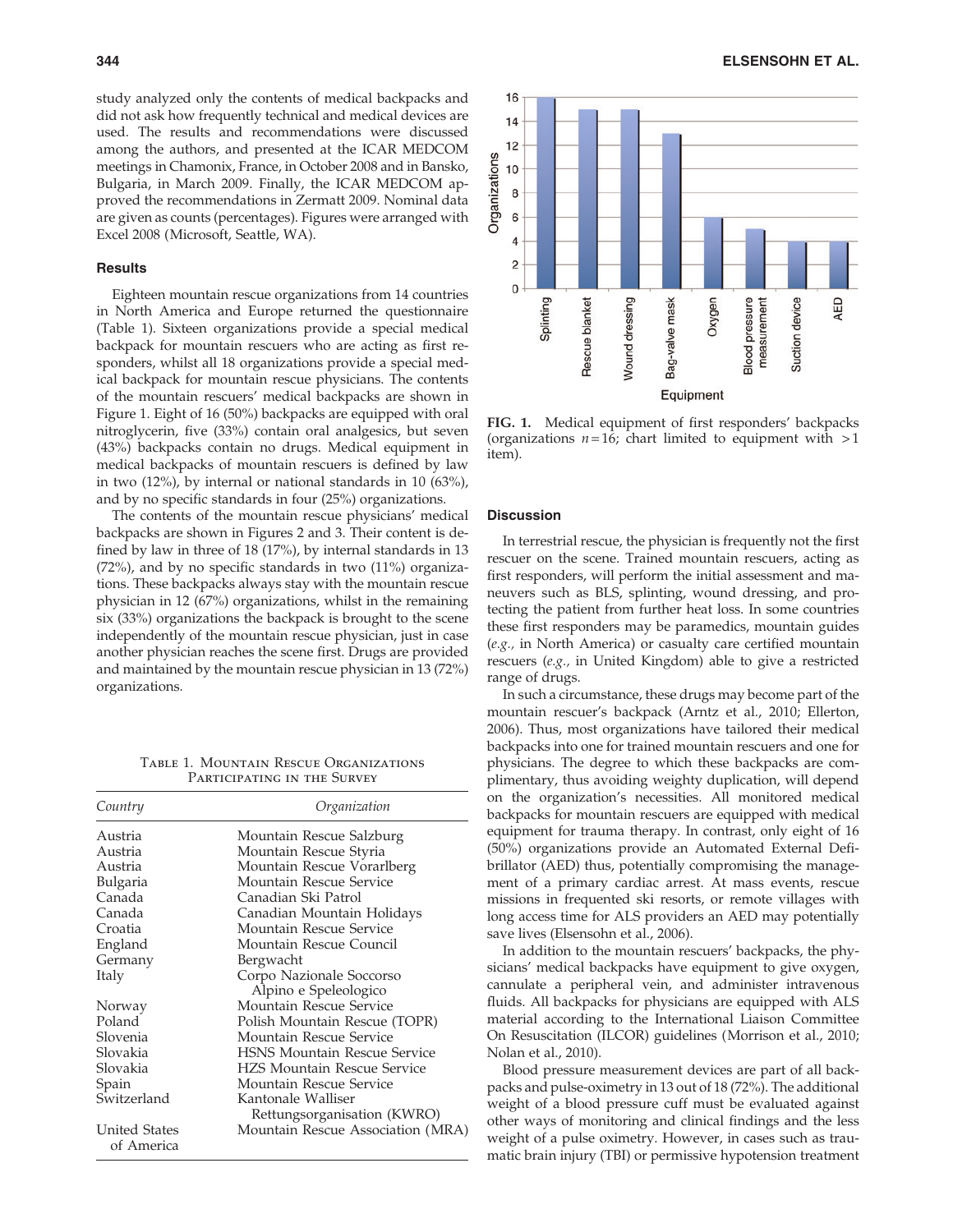study analyzed only the contents of medical backpacks and did not ask how frequently technical and medical devices are used. The results and recommendations were discussed among the authors, and presented at the ICAR MEDCOM meetings in Chamonix, France, in October 2008 and in Bansko, Bulgaria, in March 2009. Finally, the ICAR MEDCOM approved the recommendations in Zermatt 2009. Nominal data are given as counts (percentages). Figures were arranged with Excel 2008 (Microsoft, Seattle, WA).

## **Results**

Eighteen mountain rescue organizations from 14 countries in North America and Europe returned the questionnaire (Table 1). Sixteen organizations provide a special medical backpack for mountain rescuers who are acting as first responders, whilst all 18 organizations provide a special medical backpack for mountain rescue physicians. The contents of the mountain rescuers' medical backpacks are shown in Figure 1. Eight of 16 (50%) backpacks are equipped with oral nitroglycerin, five (33%) contain oral analgesics, but seven (43%) backpacks contain no drugs. Medical equipment in medical backpacks of mountain rescuers is defined by law in two (12%), by internal or national standards in 10 (63%), and by no specific standards in four (25%) organizations.

The contents of the mountain rescue physicians' medical backpacks are shown in Figures 2 and 3. Their content is defined by law in three of 18 (17%), by internal standards in 13 (72%), and by no specific standards in two (11%) organizations. These backpacks always stay with the mountain rescue physician in 12 (67%) organizations, whilst in the remaining six (33%) organizations the backpack is brought to the scene independently of the mountain rescue physician, just in case another physician reaches the scene first. Drugs are provided and maintained by the mountain rescue physician in 13 (72%) organizations.

Table 1. Mountain Rescue Organizations Participating in the Survey

| Country                            | Organization                        |
|------------------------------------|-------------------------------------|
| Austria                            | Mountain Rescue Salzburg            |
| Austria                            | Mountain Rescue Styria              |
| Austria                            | Mountain Rescue Vorarlberg          |
| Bulgaria                           | Mountain Rescue Service             |
| Canada                             | Canadian Ski Patrol                 |
| Canada                             | Canadian Mountain Holidays          |
| Croatia                            | Mountain Rescue Service             |
| England                            | Mountain Rescue Council             |
| Germany                            | Bergwacht                           |
| Italy                              | Corpo Nazionale Soccorso            |
|                                    | Alpino e Speleologico               |
| Norway                             | Mountain Rescue Service             |
| Poland                             | Polish Mountain Rescue (TOPR)       |
| Slovenia                           | Mountain Rescue Service             |
| Slovakia                           | <b>HSNS Mountain Rescue Service</b> |
| Slovakia                           | <b>HZS Mountain Rescue Service</b>  |
| Spain                              | Mountain Rescue Service             |
| Switzerland                        | Kantonale Walliser                  |
|                                    | Rettungsorganisation (KWRO)         |
| <b>United States</b><br>of America | Mountain Rescue Association (MRA)   |



FIG. 1. Medical equipment of first responders' backpacks (organizations  $n = 16$ ; chart limited to equipment with  $> 1$ item).

## Discussion

In terrestrial rescue, the physician is frequently not the first rescuer on the scene. Trained mountain rescuers, acting as first responders, will perform the initial assessment and maneuvers such as BLS, splinting, wound dressing, and protecting the patient from further heat loss. In some countries these first responders may be paramedics, mountain guides (e.g., in North America) or casualty care certified mountain rescuers (e.g., in United Kingdom) able to give a restricted range of drugs.

In such a circumstance, these drugs may become part of the mountain rescuer's backpack (Arntz et al., 2010; Ellerton, 2006). Thus, most organizations have tailored their medical backpacks into one for trained mountain rescuers and one for physicians. The degree to which these backpacks are complimentary, thus avoiding weighty duplication, will depend on the organization's necessities. All monitored medical backpacks for mountain rescuers are equipped with medical equipment for trauma therapy. In contrast, only eight of 16 (50%) organizations provide an Automated External Defibrillator (AED) thus, potentially compromising the management of a primary cardiac arrest. At mass events, rescue missions in frequented ski resorts, or remote villages with long access time for ALS providers an AED may potentially save lives (Elsensohn et al., 2006).

In addition to the mountain rescuers' backpacks, the physicians' medical backpacks have equipment to give oxygen, cannulate a peripheral vein, and administer intravenous fluids. All backpacks for physicians are equipped with ALS material according to the International Liaison Committee On Resuscitation (ILCOR) guidelines (Morrison et al., 2010; Nolan et al., 2010).

Blood pressure measurement devices are part of all backpacks and pulse-oximetry in 13 out of 18 (72%). The additional weight of a blood pressure cuff must be evaluated against other ways of monitoring and clinical findings and the less weight of a pulse oximetry. However, in cases such as traumatic brain injury (TBI) or permissive hypotension treatment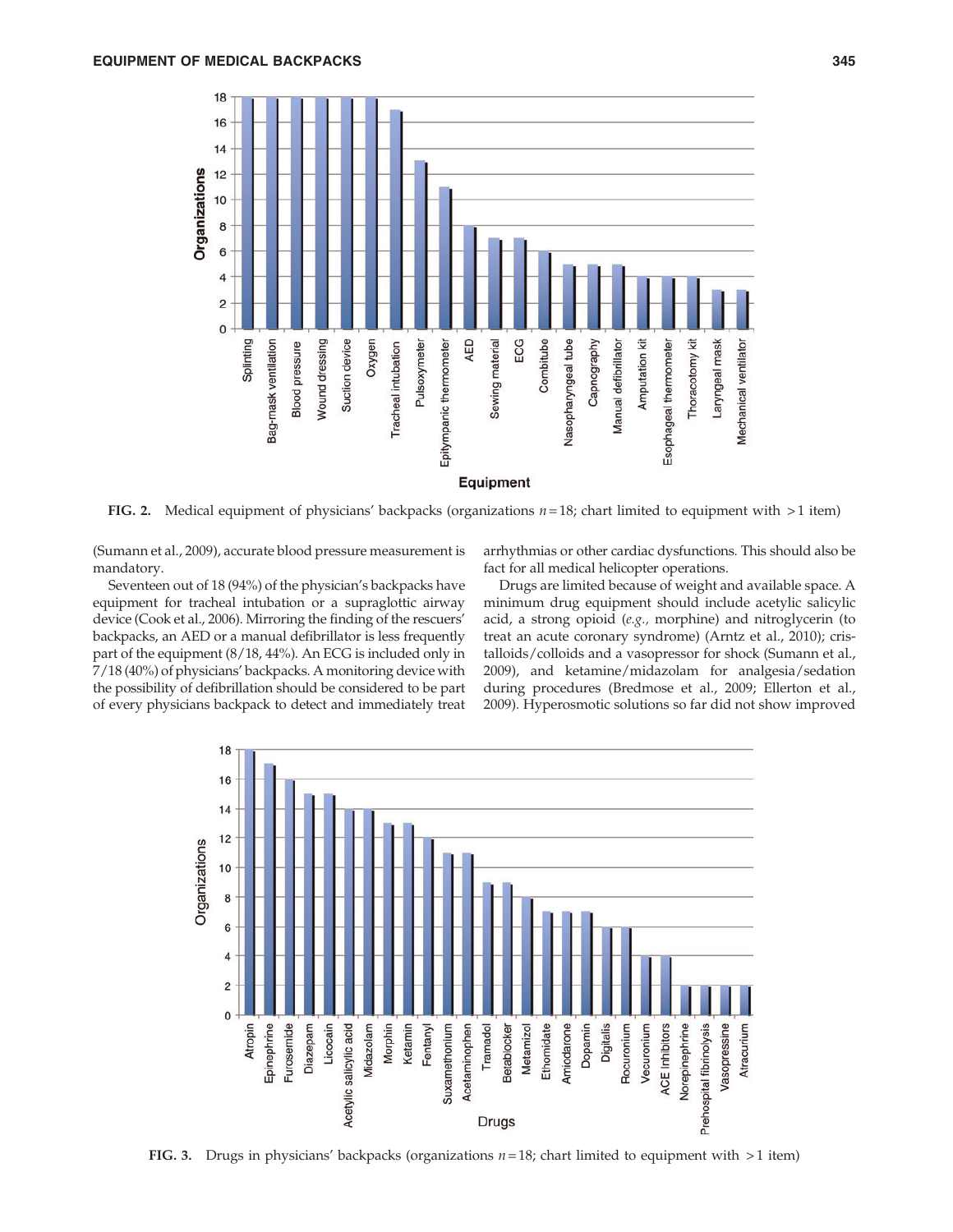

FIG. 2. Medical equipment of physicians' backpacks (organizations  $n = 18$ ; chart limited to equipment with  $>1$  item)

(Sumann et al., 2009), accurate blood pressure measurement is mandatory.

Seventeen out of 18 (94%) of the physician's backpacks have equipment for tracheal intubation or a supraglottic airway device (Cook et al., 2006). Mirroring the finding of the rescuers' backpacks, an AED or a manual defibrillator is less frequently part of the equipment (8/18, 44%). An ECG is included only in 7/18 (40%) of physicians' backpacks. A monitoring device with the possibility of defibrillation should be considered to be part of every physicians backpack to detect and immediately treat arrhythmias or other cardiac dysfunctions. This should also be fact for all medical helicopter operations.

Drugs are limited because of weight and available space. A minimum drug equipment should include acetylic salicylic acid, a strong opioid (e.g., morphine) and nitroglycerin (to treat an acute coronary syndrome) (Arntz et al., 2010); cristalloids/colloids and a vasopressor for shock (Sumann et al., 2009), and ketamine/midazolam for analgesia/sedation during procedures (Bredmose et al., 2009; Ellerton et al., 2009). Hyperosmotic solutions so far did not show improved



FIG. 3. Drugs in physicians' backpacks (organizations  $n = 18$ ; chart limited to equipment with  $> 1$  item)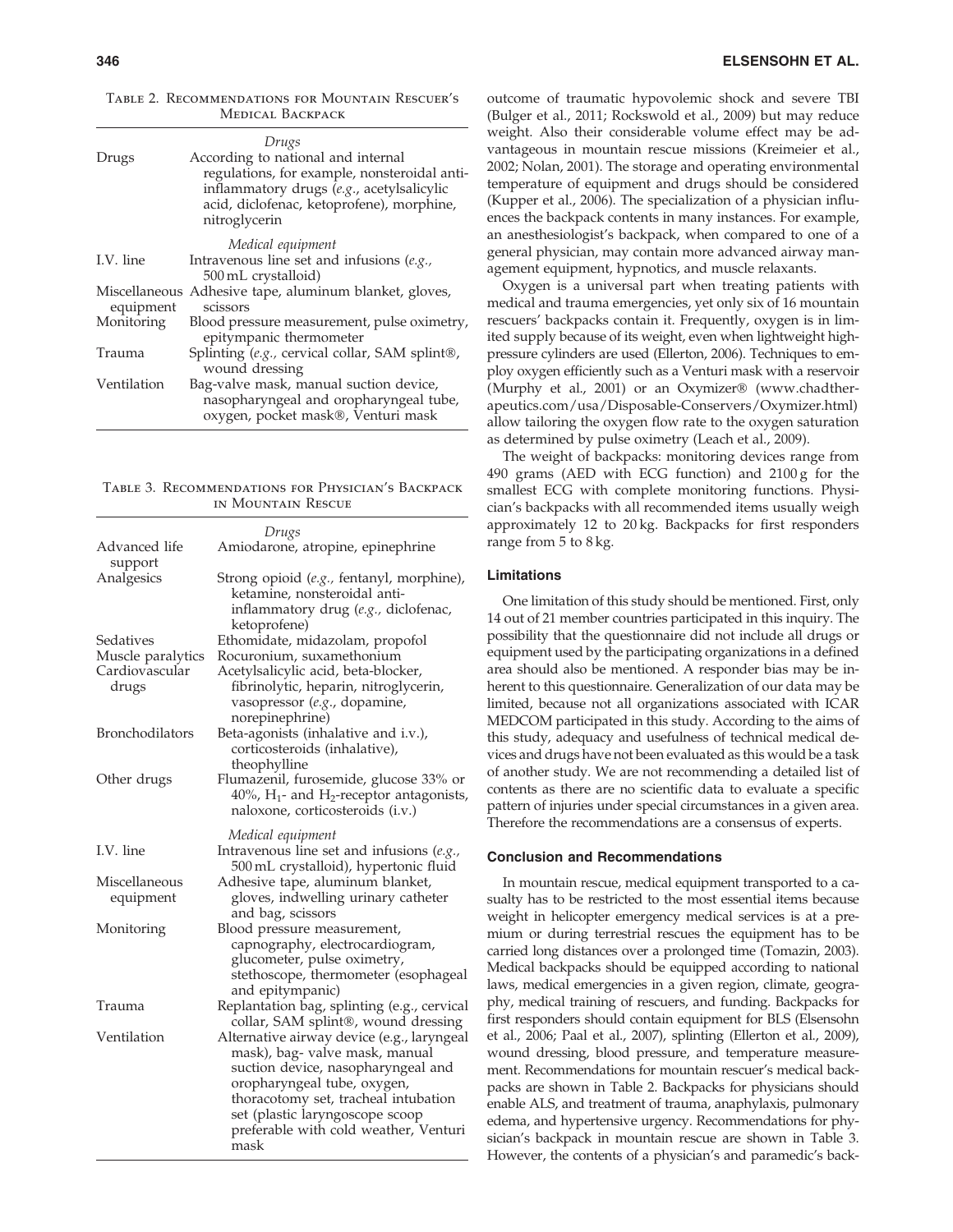| Drugs       | Drugs<br>According to national and internal<br>regulations, for example, nonsteroidal anti-<br>inflammatory drugs (e.g., acetylsalicylic<br>acid, diclofenac, ketoprofene), morphine,<br>nitroglycerin |
|-------------|--------------------------------------------------------------------------------------------------------------------------------------------------------------------------------------------------------|
|             | Medical equipment                                                                                                                                                                                      |
| I.V. line   | Intravenous line set and infusions $(e.g.,$<br>500 mL crystalloid)                                                                                                                                     |
| equipment   | Miscellaneous Adhesive tape, aluminum blanket, gloves,<br>scissors                                                                                                                                     |
| Monitoring  | Blood pressure measurement, pulse oximetry,<br>epitympanic thermometer                                                                                                                                 |
| Trauma      | Splinting (e.g., cervical collar, SAM splint®,<br>wound dressing                                                                                                                                       |
| Ventilation | Bag-valve mask, manual suction device,<br>nasopharyngeal and oropharyngeal tube,<br>oxygen, pocket mask®, Venturi mask                                                                                 |

Table 2. Recommendations for Mountain Rescuer's Medical Backpack

Table 3. Recommendations for Physician's Backpack in Mountain Rescue

|                                                           | Drugs                                                                                                                                                                                                                                                                         |
|-----------------------------------------------------------|-------------------------------------------------------------------------------------------------------------------------------------------------------------------------------------------------------------------------------------------------------------------------------|
| Advanced life                                             | Amiodarone, atropine, epinephrine                                                                                                                                                                                                                                             |
| support<br>Analgesics                                     | Strong opioid (e.g., fentanyl, morphine),<br>ketamine, nonsteroidal anti-<br>inflammatory drug (e.g., diclofenac,<br>ketoprofene)                                                                                                                                             |
| Sedatives<br>Muscle paralytics<br>Cardiovascular<br>drugs | Ethomidate, midazolam, propofol<br>Rocuronium, suxamethonium<br>Acetylsalicylic acid, beta-blocker,<br>fibrinolytic, heparin, nitroglycerin,<br>vasopressor (e.g., dopamine,<br>norepinephrine)                                                                               |
| Bronchodilators                                           | Beta-agonists (inhalative and i.v.),<br>corticosteroids (inhalative),<br>theophylline                                                                                                                                                                                         |
| Other drugs                                               | Flumazenil, furosemide, glucose 33% or<br>$40\%$ , H <sub>1</sub> - and H <sub>2</sub> -receptor antagonists,<br>naloxone, corticosteroids (i.v.)                                                                                                                             |
| I.V. line                                                 | Medical equipment<br>Intravenous line set and infusions $(e.g.,$<br>500 mL crystalloid), hypertonic fluid                                                                                                                                                                     |
| Miscellaneous<br>equipment                                | Adhesive tape, aluminum blanket,<br>gloves, indwelling urinary catheter<br>and bag, scissors                                                                                                                                                                                  |
| Monitoring                                                | Blood pressure measurement,<br>capnography, electrocardiogram,<br>glucometer, pulse oximetry,<br>stethoscope, thermometer (esophageal<br>and epitympanic)                                                                                                                     |
| Trauma                                                    | Replantation bag, splinting (e.g., cervical<br>collar, SAM splint®, wound dressing                                                                                                                                                                                            |
| Ventilation                                               | Alternative airway device (e.g., laryngeal<br>mask), bag- valve mask, manual<br>suction device, nasopharyngeal and<br>oropharyngeal tube, oxygen,<br>thoracotomy set, tracheal intubation<br>set (plastic laryngoscope scoop<br>preferable with cold weather, Venturi<br>mask |

outcome of traumatic hypovolemic shock and severe TBI (Bulger et al., 2011; Rockswold et al., 2009) but may reduce weight. Also their considerable volume effect may be advantageous in mountain rescue missions (Kreimeier et al., 2002; Nolan, 2001). The storage and operating environmental temperature of equipment and drugs should be considered (Kupper et al., 2006). The specialization of a physician influences the backpack contents in many instances. For example, an anesthesiologist's backpack, when compared to one of a general physician, may contain more advanced airway management equipment, hypnotics, and muscle relaxants.

Oxygen is a universal part when treating patients with medical and trauma emergencies, yet only six of 16 mountain rescuers' backpacks contain it. Frequently, oxygen is in limited supply because of its weight, even when lightweight highpressure cylinders are used (Ellerton, 2006). Techniques to employ oxygen efficiently such as a Venturi mask with a reservoir (Murphy et al., 2001) or an Oxymizer® (www.chadtherapeutics.com/usa/Disposable-Conservers/Oxymizer.html) allow tailoring the oxygen flow rate to the oxygen saturation as determined by pulse oximetry (Leach et al., 2009).

The weight of backpacks: monitoring devices range from 490 grams (AED with ECG function) and 2100 g for the smallest ECG with complete monitoring functions. Physician's backpacks with all recommended items usually weigh approximately 12 to 20 kg. Backpacks for first responders range from 5 to 8 kg.

## Limitations

One limitation of this study should be mentioned. First, only 14 out of 21 member countries participated in this inquiry. The possibility that the questionnaire did not include all drugs or equipment used by the participating organizations in a defined area should also be mentioned. A responder bias may be inherent to this questionnaire. Generalization of our data may be limited, because not all organizations associated with ICAR MEDCOM participated in this study. According to the aims of this study, adequacy and usefulness of technical medical devices and drugs have not been evaluated as this would be a task of another study. We are not recommending a detailed list of contents as there are no scientific data to evaluate a specific pattern of injuries under special circumstances in a given area. Therefore the recommendations are a consensus of experts.

### Conclusion and Recommendations

In mountain rescue, medical equipment transported to a casualty has to be restricted to the most essential items because weight in helicopter emergency medical services is at a premium or during terrestrial rescues the equipment has to be carried long distances over a prolonged time (Tomazin, 2003). Medical backpacks should be equipped according to national laws, medical emergencies in a given region, climate, geography, medical training of rescuers, and funding. Backpacks for first responders should contain equipment for BLS (Elsensohn et al., 2006; Paal et al., 2007), splinting (Ellerton et al., 2009), wound dressing, blood pressure, and temperature measurement. Recommendations for mountain rescuer's medical backpacks are shown in Table 2. Backpacks for physicians should enable ALS, and treatment of trauma, anaphylaxis, pulmonary edema, and hypertensive urgency. Recommendations for physician's backpack in mountain rescue are shown in Table 3. However, the contents of a physician's and paramedic's back